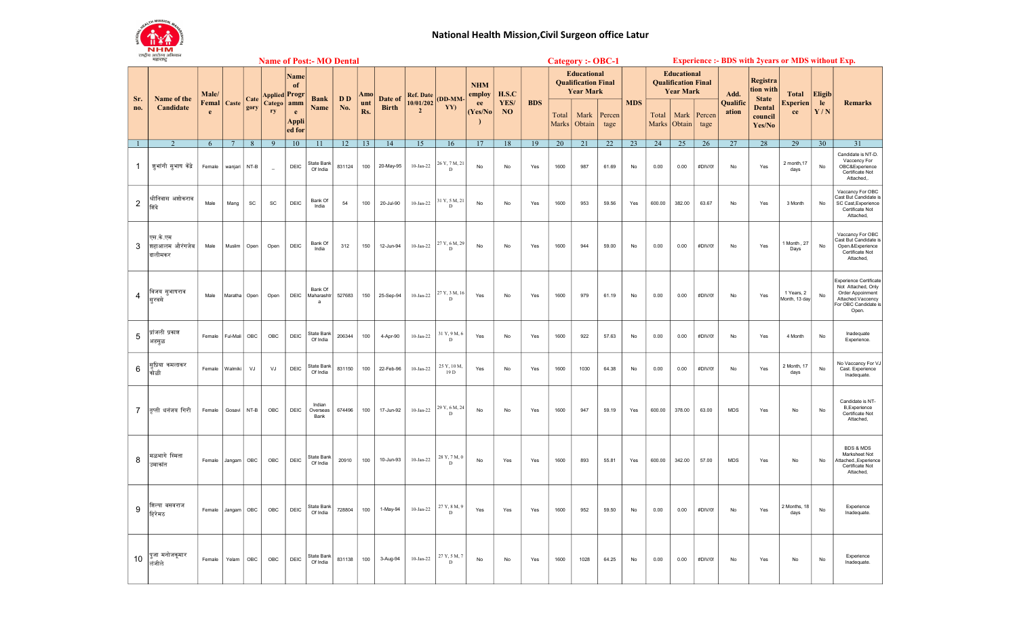

## National Health Mission,Civil Surgeon office Latur

|     | राष्ट्राय आराज्य आभयान<br>महाराष्ट्र  |            | <b>Name of Post:- MO Dental</b> |      |                          |                             |                            |           |            |              |                             |                                |                      |                   | <b>Category :- OBC-1</b> |                |                                                                      |                |               |                |                                                                      |                |                   | <b>Experience :- BDS with 2years or MDS without Exp.</b> |                             |               |                                                                                                                        |
|-----|---------------------------------------|------------|---------------------------------|------|--------------------------|-----------------------------|----------------------------|-----------|------------|--------------|-----------------------------|--------------------------------|----------------------|-------------------|--------------------------|----------------|----------------------------------------------------------------------|----------------|---------------|----------------|----------------------------------------------------------------------|----------------|-------------------|----------------------------------------------------------|-----------------------------|---------------|------------------------------------------------------------------------------------------------------------------------|
| Sr. | Name of the<br>Candidate              | Male/      |                                 | Cate | <b>Applied Progr</b>     | Name<br>of                  | <b>Bank</b>                | <b>DD</b> | Amo        | Date of      | Ref. Date                   | (DD-MM-                        | <b>NHM</b><br>employ | H.S.C             |                          |                | <b>Educational</b><br><b>Oualification Final</b><br><b>Year Mark</b> |                |               |                | <b>Educational</b><br><b>Qualification Final</b><br><b>Year Mark</b> |                | Add.              | Registra<br>tion with<br><b>State</b>                    | <b>Total</b>                | <b>Eligib</b> |                                                                                                                        |
| no. |                                       | Femal<br>e | Caste                           | gory | Catego<br>ry             | amm<br>e<br>Appli<br>ed for | Name                       | No.       | unt<br>Rs. | <b>Birth</b> | 10/01/202<br>$\overline{2}$ | YY)                            | ee<br>(Yes/No)       | YES/<br><b>NO</b> | <b>BDS</b>               | Total<br>Marks | Mark<br>Obtain                                                       | Percen<br>tage | <b>MDS</b>    | Total<br>Marks | Mark<br>Obtain                                                       | Percen<br>tage | Qualific<br>ation | <b>Dental</b><br>council<br>Yes/No                       | <b>Experien</b><br>ce       | le.<br>Y/N    | <b>Remarks</b>                                                                                                         |
|     | 2                                     | 6          | $7\phantom{.0}$                 | 8    | $\overline{9}$           | 10                          | 11                         | 12        | 13         | 14           | 15                          | 16                             | 17                   | 18                | 19                       | 20             | 21                                                                   | 22             | 23            | 24             | 25                                                                   | 26             | 27                | 28                                                       | 29                          | 30            | 31                                                                                                                     |
| 1   | जूभांगी सुभाष केंद्रे                 | Female     | wanjari                         | NT-B | $\overline{\phantom{a}}$ | <b>DEIC</b>                 | State Bank<br>Of India     | 831124    | 100        | 20-May-95    | $10$ -Jan-22                | 26 Y, 7 M, 21<br>D             | No                   | No                | Yes                      | 1600           | 987                                                                  | 61.69          | No            | 0.00           | 0.00                                                                 | #DIV/0!        | No                | Yes                                                      | 2 month, 17<br>days         | No            | Candidate is NT-D.<br>Vaccency For<br>OBC&Experience<br>Certificate Not<br>Attached.                                   |
| 2   | श्रीनिवास अशोकराव<br>शिंदे            | Male       | Mang                            | SC   | <b>SC</b>                | DEIC                        | Bank Of<br>India           | 54        | 100        | 20-Jul-90    | $10$ -Jan-22                | 31 Y, 5 M, 21<br>D             | No                   | No                | Yes                      | 1600           | 953                                                                  | 59.56          | Yes           | 600.00         | 382.00                                                               | 63.67          | No                | Yes                                                      | 3 Month                     | $\mathsf{No}$ | Vaccancy For OBC<br>Cast But Candidate is<br>SC Cast, Experience<br>Certificate Not<br>Attached                        |
| 3   | एस.के.एम<br>शहाआलम औरंगजेब<br>दालीमकर | Male       | Muslim                          | Open | Open                     | DEIC                        | Bank Of<br>India           | 312       | 150        | 12-Jun-94    | $10$ -Jan-22                | 27 Y, 6 M, 29<br>D             | No                   | No                | Yes                      | 1600           | 944                                                                  | 59.00          | No            | 0.00           | 0.00                                                                 | #DIV/0!        | No                | Yes                                                      | 1 Month, 27<br>Days         | No            | Vaccancy For OBC<br>Cast But Candidate is<br>Open.&Experience<br>Certificate Not<br>Attached,                          |
| 4   | विजय सुभाषराव<br>सूरवसे               | Male       | Maratha Open                    |      | Open                     | DEIC                        | Bank Of<br>Maharashtr<br>a | 527683    | 150        | 25-Sep-94    | $10$ -Jan-22                | 27 Y, 3 M, 16<br>D             | Yes                  | No                | Yes                      | 1600           | 979                                                                  | 61.19          | $\mathsf{No}$ | 0.00           | 0.00                                                                 | #DIV/0!        | $\mathsf{No}$     | Yes                                                      | 1 Years, 2<br>Month, 13 day | $\mathsf{No}$ | Experience Certificate<br>Not Attached, Only<br>Order Appoinment<br>Attached.Vaccency<br>For OBC Candidate is<br>Open. |
| 5   | प्रांजली प्रकाश<br>अडसूळ              | Female     | Ful-Mali                        | OBC  | OBC                      | DEIC                        | State Bank<br>Of India     | 206344    | 100        | 4-Apr-90     | $10$ -Jan-22                | 31 Y, 9 M, 6<br>D              | Yes                  | No                | Yes                      | 1600           | 922                                                                  | 57.63          | No            | 0.00           | 0.00                                                                 | #DIV/0!        | No                | Yes                                                      | 4 Month                     | No            | Inadequate<br>Experience.                                                                                              |
| 6   | सूप्रिया कमलाकर<br>कोळी               | Female     | Walmiki                         | VJ   | VJ                       | DEIC                        | State Bank<br>Of India     | 831150    | 100        | 22-Feb-96    | $10 - Jan-22$               | 25 Y, 10 M,<br>19 <sub>D</sub> | Yes                  | No                | Yes                      | 1600           | 1030                                                                 | 64.38          | No            | 0.00           | 0.00                                                                 | #DIV/0!        | No                | Yes                                                      | 2 Month, 17<br>days         | $\mathsf{No}$ | No Vaccancy For VJ<br>Cast. Experience<br>Inadequate.                                                                  |
| 7   | तप्ती धनंजय गिरी                      | Female     | Gosavi                          | NT-B | OBC                      | DEIC                        | Indian<br>Overseas<br>Bank | 674496    | 100        | 17-Jun-92    | $10$ -Jan-22                | 29 Y, 6 M, 24<br>$\mathbf D$   | No                   | No                | Yes                      | 1600           | 947                                                                  | 59.19          | Yes           | 600.00         | 378.00                                                               | 63.00          | <b>MDS</b>        | Yes                                                      | No                          | No            | Candidate is NT-<br><b>B.Fxperience</b><br>Certificate Not<br>Attached,                                                |
| 8   | मळभागे स्मिता<br>उमाकांत              | Female     | Jangam                          | OBC  | OBC                      | DEIC                        | State Bank<br>Of India     | 20910     | 100        | 10-Jun-93    | $10 - Jan-22$               | 28 Y, 7 M, 0<br>D              | No                   | Yes               | Yes                      | 1600           | 893                                                                  | 55.81          | Yes           | 600.00         | 342.00                                                               | 57.00          | <b>MDS</b>        | Yes                                                      | No                          | No            | <b>BDS &amp; MDS</b><br>Marksheet Not<br>Attached., Experience<br>Certificate Not<br>Attached,                         |
| 9   | शिल्पा बसवराज<br>हिरेमठ               | Female     | Jangam                          | OBC  | OBC                      | DEIC                        | State Bank<br>Of India     | 728804    | 100        | 1-May-94     | $10 - Jan-22$               | 27 Y, 8 M, 9<br>D              | Yes                  | Yes               | Yes                      | 1600           | 952                                                                  | 59.50          | No            | 0.00           | 0.00                                                                 | #DIV/0!        | No                | Yes                                                      | 2 Months, 18<br>days        | No            | Experience<br>Inadequate.                                                                                              |
| 10  | पूजा मनोजकूमार<br>लंजीले              | Female     | Yelam                           | OBC  | OBC                      | DEIC                        | State Bank<br>Of India     | 831138    | 100        | 3-Aug-94     | $10 - Jan-22$               | 27 Y, 5 M, 7<br>$\mathbf D$    | No                   | No                | Yes                      | 1600           | 1028                                                                 | 64.25          | No            | 0.00           | 0.00                                                                 | #DIV/0!        | N <sub>o</sub>    | Yes                                                      | No                          | No            | Experience<br>Inadequate.                                                                                              |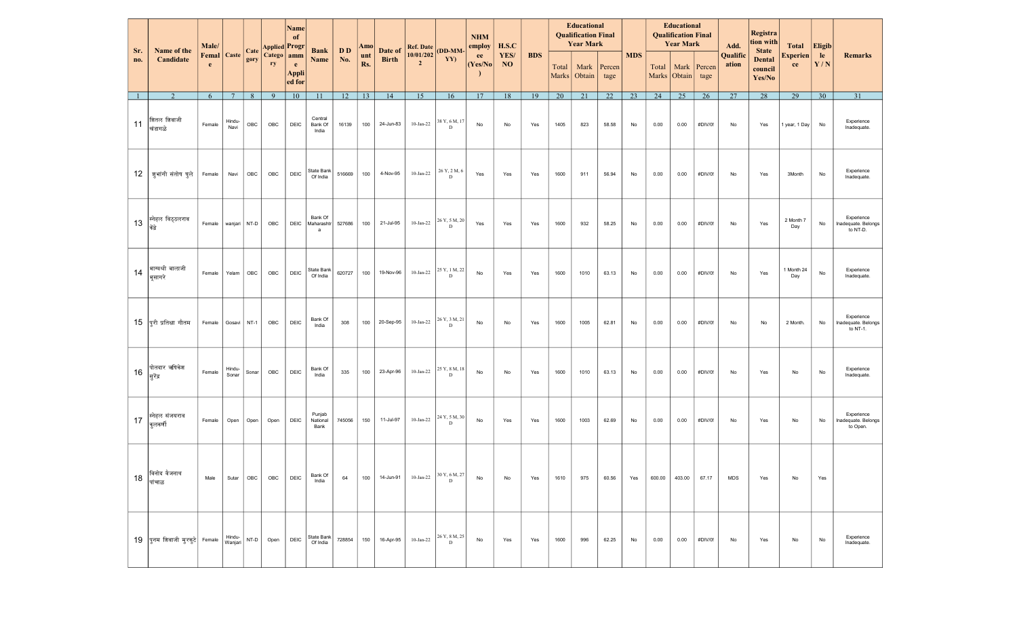| Sr.          | Name of the                     | Male/                   |                 | Cate  | Applied Progr                                                                              | <b>Name</b><br>0f           | <b>Bank</b>                 | D D    | Amo        | Date of      | <b>Ref. Date</b>            | <b>DD-MM</b>                  | <b>NHM</b><br>employ<br>ee | H.S.C      |            |                       | <b>Educational</b><br><b>Oualification Final</b><br><b>Year Mark</b> |                |            |        | <b>Educational</b><br><b>Qualification Final</b><br><b>Year Mark</b> |                | Add.              | Registra<br>tion with<br><b>State</b> | <b>Total</b>          | Eligib                        |                                               |
|--------------|---------------------------------|-------------------------|-----------------|-------|--------------------------------------------------------------------------------------------|-----------------------------|-----------------------------|--------|------------|--------------|-----------------------------|-------------------------------|----------------------------|------------|------------|-----------------------|----------------------------------------------------------------------|----------------|------------|--------|----------------------------------------------------------------------|----------------|-------------------|---------------------------------------|-----------------------|-------------------------------|-----------------------------------------------|
| no.          | Candidate                       | <b>Femal</b> Caste<br>e |                 | gory  | Catego   amm<br>ry                                                                         | e<br><b>Appli</b><br>ed for | Name                        | No.    | unt<br>Rs. | <b>Birth</b> | 10/01/202<br>$\overline{2}$ | YY)                           | (Yes/No)<br>- 1            | YES/<br>NO | <b>BDS</b> | Total<br><b>Marks</b> | Mark<br>Obtain                                                       | Percen<br>tage | <b>MDS</b> | Total  | Mark<br>Marks Obtain                                                 | Percen<br>tage | Qualific<br>ation | <b>Dental</b><br>council<br>Yes/No    | <b>Experien</b><br>ce | le<br>$\mathbf{Y}/\mathbf{N}$ | Remarks                                       |
| $\mathbf{1}$ | 2                               | 6                       | $7\phantom{.0}$ | 8     | -9                                                                                         | 10                          | 11                          | 12     | 13         | 14           | 15                          | 16                            | 17                         | 18         | 19         | 20                    | 21                                                                   | 22             | 23         | 24     | 25                                                                   | 26             | 27                | 28                                    | 29                    | 30                            | 31                                            |
| 11           | शितल शिवाजी<br>खंडागळे          | Female                  | Hindu-<br>Navi  | OBC   | OBC                                                                                        | DEIC                        | Central<br>Bank Of<br>India | 16139  | 100        | 24-Jun-83    | $10$ -Jan-22                | 38 Y, 6 M, 17<br>D            | No                         | No         | Yes        | 1405                  | 823                                                                  | 58.58          | No         | 0.00   | 0.00                                                                 | #DIV/0!        | No                | Yes                                   | 1 year, 1 Day         | No                            | Experience<br>Inadequate.                     |
|              | 12   जुभांगी संतोष घुले         | Female                  | Navi            | OBC   | OBC                                                                                        | DEIC                        | State Bank<br>Of India      | 516669 | 100        | 4-Nov-95     | $10$ -Jan-22                | 26 Y, 2 M, 6<br>D             | Yes                        | Yes        | Yes        | 1600                  | 911                                                                  | 56.94          | No         | 0.00   | 0.00                                                                 | #DIV/0!        | No                | Yes                                   | 3Month                | No                            | Experience<br>Inadequate.                     |
| 13           | स्नेहल विठ्ठलराव<br>केंद्रे     | Female                  | wanjari NT-D    |       | OBC                                                                                        | <b>DEIC</b>                 | Bank Of<br>Maharashtr<br>a  | 527686 | 100        | 21-Jul-95    | $10 - Jan-22$               | 26 Y, 5 M, 20<br>D            | Yes                        | Yes        | Yes        | 1600                  | 932                                                                  | 58.25          | No         | 0.00   | 0.00                                                                 | #DIV/0!        | No                | Yes                                   | 2 Month 7<br>Day      | No                            | Experience<br>Inadequate. Belongs<br>to NT-D. |
| 14           | भाग्यश्री बालाजी<br>भूसागरे     | Female                  | Yelam           | OBC   | OBC                                                                                        | DEIC                        | State Bank<br>Of India      | 620727 | 100        | 19-Nov-96    | 10-Jan-22                   | 25 Y, 1 M, 22<br>D            | No                         | Yes        | Yes        | 1600                  | 1010                                                                 | 63.13          | No         | 0.00   | 0.00                                                                 | #DIV/0!        | No                | Yes                                   | 1 Month 24<br>Day     | No                            | Experience<br>Inadequate.                     |
|              | 15 पूरी प्रतिक्षा गौतम          | Female                  | Gosavi NT-1     |       | OBC                                                                                        | DEIC                        | Bank Of<br>India            | 308    | 100        | 20-Sep-95    | 10-Jan-22                   | 26 Y, 3 M, 21<br>D            | No                         | No         | Yes        | 1600                  | 1005                                                                 | 62.81          | No         | 0.00   | 0.00                                                                 | #DIV/0!        | No                | No                                    | 2 Month.              | No                            | Experience<br>Inadequate. Belongs<br>to NT-1. |
| 16           | पोतदार ऋषिकेश<br>सूरेंद्र       | Female                  | Hindu-<br>Sonar | Sonar | OBC                                                                                        | DEIC                        | Bank Of<br>India            | 335    | 100        | 23-Apr-96    | $10 - Jan-22$               | 25 Y, 8 M, 18<br>D            | No                         | No         | Yes        | 1600                  | 1010                                                                 | 63.13          | No         | 0.00   | 0.00                                                                 | #DIV/0!        | No                | Yes                                   | No                    | No                            | Experience<br>Inadequate.                     |
| 17           | स्नेहल संजयराव<br>कुलकर्णी      | Female                  | Open            | Open  | Open                                                                                       | DEIC                        | Punjab<br>National<br>Bank  | 745056 | 150        | 11-Jul-97    | $10 - Jan-22$               | 24 Y, 5 M, 30<br>D            | No                         | Yes        | Yes        | 1600                  | 1003                                                                 | 62.69          | No         | 0.00   | 0.00                                                                 | #DIV/0!        | No                | Yes                                   | No                    | No                            | Experience<br>Inadequate. Belongs<br>to Open. |
| $18\,$       | विनोद वैजनाथ<br>पांचाळ          | Male                    | Sutar           | OBC   | OBC                                                                                        | DEIC                        | Bank Of<br>India            | 64     | 100        | 14-Jun-91    | $10 - Jan-22$               | 30 Y, 6 M, 27<br>$\mathbf{D}$ | No                         | No         | Yes        | 1610                  | 975                                                                  | 60.56          | Yes        | 600.00 | 403.00                                                               | 67.17          | <b>MDS</b>        | Yes                                   | No                    | Yes                           |                                               |
|              | $19$ पुनम शिवाजी मुरकुटे Female |                         | Wanjari         |       | $\left  \begin{array}{c} \text{Hindu-} \\ \text{N} \end{array} \right $ NT-D $\left $ Open | DEIC                        | State Bank<br>Of India      | 728854 | 150        | 16-Apr-95    | $10$ -Jan-22                | 26 Y, 8 M, 25<br>D            | No                         | Yes        | Yes        | 1600                  | 996                                                                  | 62.25          | No         | 0.00   | 0.00                                                                 | #DIV/0!        | No                | Yes                                   | No                    | No                            | Experience<br>Inadequate.                     |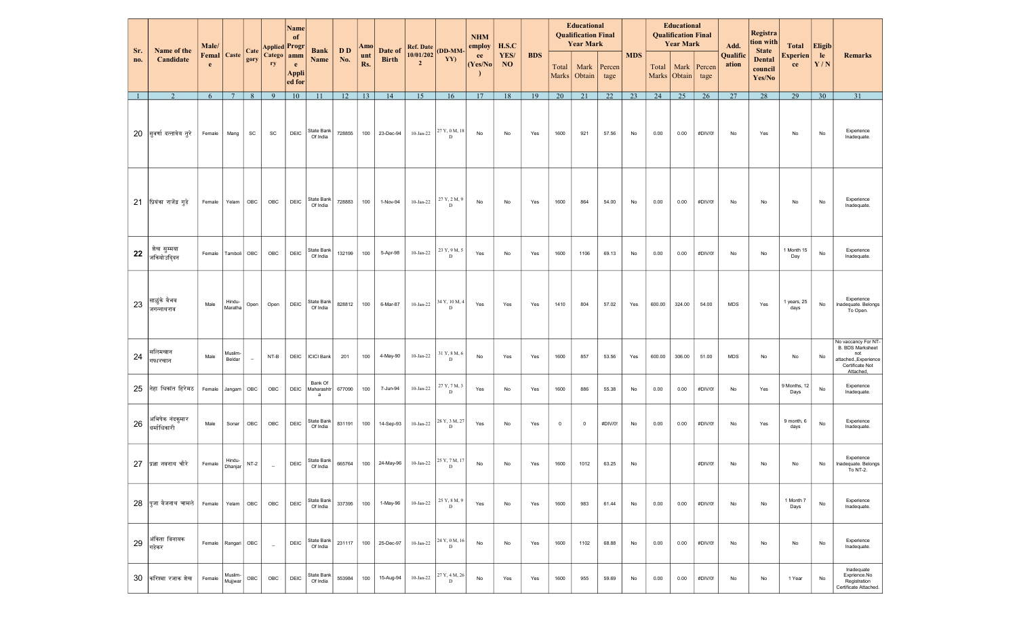| Sr. | Name of the<br>Candidate      | Male/                     |                    | Cate                     | <b>Applied Progr</b>     | <b>Name</b><br>of           | <b>Bank</b><br>Name        | D D    | Amo        | Date of      | <b>Ref. Date</b>            | (DD-MM-            | <b>NHM</b><br>employ | H.S.C             |            |                | <b>Educational</b><br><b>Qualification Final</b><br><b>Year Mark</b> |                |            | <b>Educational</b><br><b>Qualification Final</b><br><b>Year Mark</b> |                        |                | Add.              | Registra<br>tion with<br><b>State</b> | <b>Total</b>          | <b>Eligib</b> |                                                                                                               |
|-----|-------------------------------|---------------------------|--------------------|--------------------------|--------------------------|-----------------------------|----------------------------|--------|------------|--------------|-----------------------------|--------------------|----------------------|-------------------|------------|----------------|----------------------------------------------------------------------|----------------|------------|----------------------------------------------------------------------|------------------------|----------------|-------------------|---------------------------------------|-----------------------|---------------|---------------------------------------------------------------------------------------------------------------|
| no. |                               | <b>Femal</b>   Caste<br>e |                    | gory                     | Catego<br>ry             | amm<br>e<br>Appli<br>ed for |                            | No.    | unt<br>Rs. | <b>Birth</b> | 10/01/202<br>$\overline{2}$ | YY)                | ee<br>(Yes/No)       | YES/<br><b>NO</b> | <b>BDS</b> | Total<br>Marks | Mark<br>Obtain                                                       | Percen<br>tage | <b>MDS</b> | Total                                                                | Mark<br>Marks   Obtain | Percen<br>tage | Qualific<br>ation | <b>Dental</b><br>council<br>Yes/No    | <b>Experien</b><br>ce | le.<br>Y/N    | <b>Remarks</b>                                                                                                |
|     | $\overline{2}$                | 6                         | $7\phantom{.0}$    | 8                        | 9                        | 10                          | 11                         | 12     | 13         | 14           | 15                          | 16                 | 17                   | 18                | 19         | 20             | 21                                                                   | 22             | 23         | 24                                                                   | 25                     | 26             | 27                | 28                                    | 29                    | 30            | 31                                                                                                            |
| 20  | सूवर्णादत्तात्रेय तूरे        | Female                    | Mang               | SC                       | SC                       | DEIC                        | State Bank<br>Of India     | 728855 | 100        | 23-Dec-94    | $10$ -Jan-22                | 27 Y, 0 M, 18<br>D | No                   | No                | Yes        | 1600           | 921                                                                  | 57.56          | No         | 0.00                                                                 | 0.00                   | #DIV/0!        | No                | Yes                                   | No                    | No            | Experience<br>Inadequate.                                                                                     |
| 21  | प्रियंका राजेंद्र गुडे        | Female                    | Yelam              | OBC                      | OBC                      | DEIC                        | State Bank<br>Of India     | 728883 | 100        | 1-Nov-94     | $10$ -Jan-22                | 27 Y, 2 M, 9<br>D  | No                   | No                | Yes        | 1600           | 864                                                                  | 54.00          | No         | 0.00                                                                 | 0.00                   | #DIV/0!        | No                | No                                    | No                    | No            | Experience<br>Inadequate.                                                                                     |
| 22  | शेख सुम्मया<br>जकियोउदिदन     | Female                    | Tamboli            | OBC                      | OBC                      | DEIC                        | State Bank<br>Of India     | 132199 | 100        | 5-Apr-98     | $10$ -Jan-22                | 23 Y, 9 M, 5<br>D  | Yes                  | No                | Yes        | 1600           | 1106                                                                 | 69.13          | No         | 0.00                                                                 | 0.00                   | #DIV/0!        | No                | No                                    | 1 Month 15<br>Day     | No            | Experience<br>Inadequate.                                                                                     |
| 23  | साळुंके वैभव<br>जगन्नाथराव    | Male                      | Hindu-<br>Maratha  | Open                     | Open                     | DEIC                        | State Bank<br>Of India     | 828812 | 100        | 6-Mar-87     | $10$ -Jan-22                | 34 Y, 10 M, 4<br>D | Yes                  | Yes               | Yes        | 1410           | 804                                                                  | 57.02          | Yes        | 600.00                                                               | 324.00                 | 54.00          | <b>MDS</b>        | Yes                                   | 1 years, 25<br>days   | No            | Experience<br>Inadequate. Belongs<br>To Open.                                                                 |
| 24  | सलिमखान<br>गफारखान            | Male                      | Muslim-<br>Beldar  | $\overline{\phantom{a}}$ | $NT-B$                   | DEIC                        | <b>ICICI Bank</b>          | 201    | 100        | 4-May-90     | $10$ -Jan-22                | 31 Y, 8 M, 6<br>D  | No                   | Yes               | Yes        | 1600           | 857                                                                  | 53.56          | Yes        | 600.00                                                               | 306.00                 | 51.00          | <b>MDS</b>        | No                                    | No                    | No            | No vaccancy For NT-<br><b>B. BDS Marksheet</b><br>not<br>attached., Experience<br>Certificate Not<br>Attached |
| 25  | नेहा श्रिकांत हिरेमठ          | Female                    | Jangam             | OBC                      | OBC                      | DEIC                        | Bank Of<br>Maharashtr<br>a | 677090 | 100        | 7-Jun-94     | $10$ -Jan-22                | 27 Y, 7 M, 3<br>D  | Yes                  | No                | Yes        | 1600           | 886                                                                  | 55.38          | No         | 0.00                                                                 | 0.00                   | #DIV/0!        | No                | Yes                                   | 9 Months, 12<br>Days  | No            | Experience<br>Inadequate.                                                                                     |
| 26  | अभिषेक नंदकमार<br>धर्माधिकारी | Male                      | Sonar              | OBC                      | OBC                      | DEIC                        | State Bank<br>Of India     | 831191 | 100        | 14-Sep-93    | $10$ -Jan-22                | 28 Y, 3 M, 27<br>D | Yes                  | No                | Yes        | $^{\circ}$     | $\mathbf 0$                                                          | #DIV/0!        | No         | 0.00                                                                 | 0.00                   | #DIV/0!        | No                | Yes                                   | 9 month, 6<br>days    | No            | Experience<br>Inadequate.                                                                                     |
| 27  | प्रज्ञानवनाथ चौरे             | Female                    | Hindu-<br>Dhanjar  | $NT-2$                   | $\sim$                   | DEIC                        | State Bank<br>Of India     | 665764 | 100        | 24-May-96    | 10-Jan-22                   | 25 Y, 7 M, 17<br>D | No                   | No                | Yes        | 1600           | 1012                                                                 | 63.25          | No         |                                                                      |                        | #DIV/0!        | No                | No                                    | No                    | No            | Experience<br>Inadequate. Belongs<br>To NT-2.                                                                 |
| 28  | पजा वैजनाथ चामले              | Female                    | Yelam              | OBC                      | OBC                      | DEIC                        | State Bank<br>Of India     | 337395 | 100        | 1-May-96     | $10$ -Jan-22                | 25 Y, 8 M, 9<br>D  | Yes                  | No                | Yes        | 1600           | 983                                                                  | 61.44          | No         | 0.00                                                                 | 0.00                   | #DIV/0!        | No                | No                                    | 1 Month 7<br>Days     | No            | Experience<br>Inadequate.                                                                                     |
| 29  | अंकिता विनायक<br>गडेकर        | Female                    | Rangari            | OBC                      | $\overline{\phantom{a}}$ | DEIC                        | State Bank<br>Of India     | 231117 | 100        | 25-Dec-97    | $10$ -Jan-22                | 24 Y, 0 M, 16<br>D | No                   | No                | Yes        | 1600           | 1102                                                                 | 68.88          | No         | 0.00                                                                 | 0.00                   | #DIV/0!        | No                | No                                    | No                    | No            | Experience<br>Inadequate.                                                                                     |
| 30  | करिश्मा रजाक शेख              | Female                    | Muslim-<br>Mujjwar | OBC                      | OBC                      | <b>DEIC</b>                 | State Bank<br>Of India     | 553984 | 100        | 15-Aug-94    | $10$ -Jan-22                | 27 Y, 4 M, 26<br>D | No                   | Yes               | Yes        | 1600           | 955                                                                  | 59.69          | No         | 0.00                                                                 | 0.00                   | #DIV/0!        | No                | No                                    | 1 Year                | No            | Inadequate<br>Exprience.No<br>Registration<br>Certificate Attached.                                           |